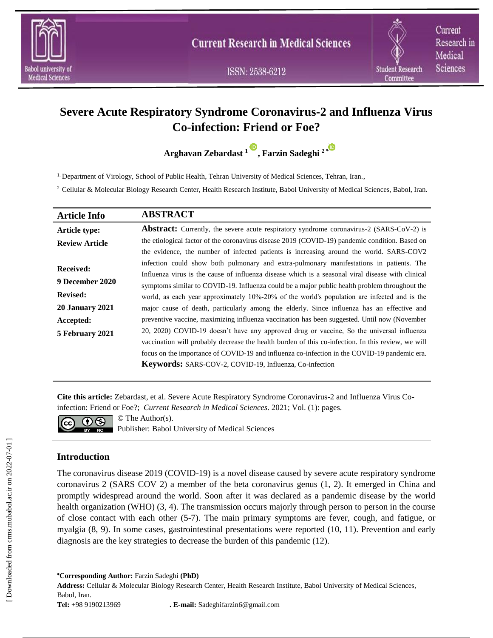

ISSN: 2538-6212

Current Research in Medical Sciences

# **Severe Acute Respiratory Syndrome Coronavirus-2 and Influenza Virus Co-infection: Friend or Foe?**

**Arghavan Zebardast <sup>1</sup> , Farzin Sadeghi 2 [\\*](https://orcid.org/0000-0001-8599-3643)** 

1. Department of Virology, School of Public Health, Tehran University of Medical Sciences, Tehran, Iran.,

2. Cellular & Molecular Biology Research Center, Health Research Institute, Babol University of Medical Sciences, Babol, Iran.

| <b>Article Info</b>    | <b>ABSTRACT</b>                                                                                    |
|------------------------|----------------------------------------------------------------------------------------------------|
| Article type:          | <b>Abstract:</b> Currently, the severe acute respiratory syndrome coronavirus-2 (SARS-CoV-2) is    |
| <b>Review Article</b>  | the etiological factor of the coronavirus disease 2019 (COVID-19) pandemic condition. Based on     |
|                        | the evidence, the number of infected patients is increasing around the world. SARS-COV2            |
| <b>Received:</b>       | infection could show both pulmonary and extra-pulmonary manifestations in patients. The            |
| 9 December 2020        | Influenza virus is the cause of influenza disease which is a seasonal viral disease with clinical  |
|                        | symptoms similar to COVID-19. Influenza could be a major public health problem throughout the      |
| <b>Revised:</b>        | world, as each year approximately 10%-20% of the world's population are infected and is the        |
| <b>20 January 2021</b> | major cause of death, particularly among the elderly. Since influenza has an effective and         |
| Accepted:              | preventive vaccine, maximizing influenza vaccination has been suggested. Until now (November       |
| 5 February 2021        | 20, 2020) COVID-19 doesn't have any approved drug or vaccine, So the universal influenza           |
|                        | vaccination will probably decrease the health burden of this co-infection. In this review, we will |
|                        | focus on the importance of COVID-19 and influenza co-infection in the COVID-19 pandemic era.       |
|                        | Keywords: SARS-COV-2, COVID-19, Influenza, Co-infection                                            |

**Cite this article:** Zebardast, et al. Severe Acute Respiratory Syndrome Coronavirus-2 and Influenza Virus Coinfection: Friend or Foe?; *Current Research in Medical Sciences*. 2021; Vol. (1): pages.



 $\overline{\mathbf{cc}}$   $\overline{\mathbf{O}}$   $\overline{\mathbf{S}}$   $\overline{\mathbf{S}}$  The Author(s). **Publisher: Babol University of Medical Sciences** 

# **Introduction**

The coronavirus disease 2019 (COVID-19) is a novel disease caused by severe acute respiratory syndrome coronavirus 2 (SARS COV 2) a member of the beta coronavirus genus (1, 2). It emerged in China and promptly widespread around the world. Soon after it was declared as a pandemic disease by the world health organization (WHO) (3, 4). The transmission occurs majorly through person to person in the course of close contact with each other (5-7). The main primary symptoms are fever, cough, and fatigue, or myalgia (8, 9). In some cases, gastrointestinal presentations were reported (10, 11). Prevention and early diagnosis are the key strategies to decrease the burden of this pandemic (12).

**Address:** Cellular & Molecular Biology Research Center, Health Research Institute, Babol University of Medical Sciences, Babol, Iran.

**Corresponding Author:** Farzin Sadeghi **(PhD)**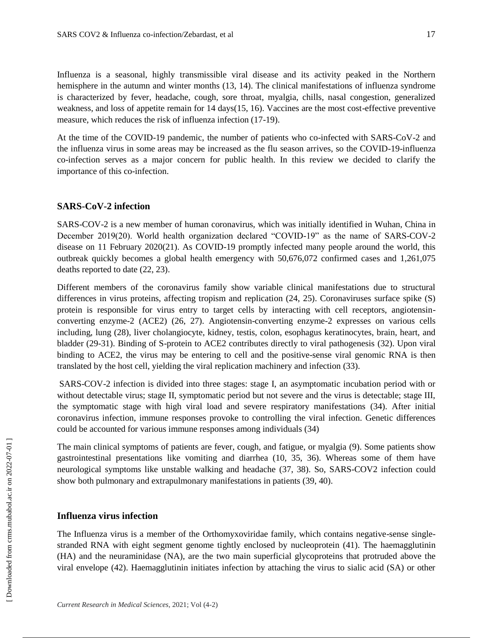Influenza is a seasonal, highly transmissible viral disease and its activity peaked in the Northern hemisphere in the autumn and winter months (13, 14). The clinical manifestations of influenza syndrome is characterized by fever, headache, cough, sore throat, myalgia, chills, nasal congestion, generalized weakness, and loss of appetite remain for 14 days(15, 16). Vaccines are the most cost-effective preventive measure, which reduces the risk of influenza infection (17-19).

At the time of the COVID-19 pandemic, the number of patients who co-infected with SARS-CoV-2 and the influenza virus in some areas may be increased as the flu season arrives, so the COVID-19-influenza co-infection serves as a major concern for public health. In this review we decided to clarify the importance of this co-infection.

#### **SARS-CoV-2 infection**

SARS-COV-2 is a new member of human coronavirus, which was initially identified in Wuhan, China in December 2019(20). World health organization declared "COVID-19" as the name of SARS-COV-2 disease on 11 February 2020(21). As COVID-19 promptly infected many people around the world, this outbreak quickly becomes a global health emergency with 50,676,072 confirmed cases and 1,261,075 deaths reported to date (22, 23).

Different members of the coronavirus family show variable clinical manifestations due to structural differences in virus proteins, affecting tropism and replication (24, 25). Coronaviruses surface spike (S) protein is responsible for virus entry to target cells by interacting with cell receptors, angiotensinconverting enzyme-2 (ACE2) (26, 27). Angiotensin-converting enzyme-2 expresses on various cells including, lung (28), liver cholangiocyte, kidney, testis, colon, esophagus keratinocytes, brain, heart, and bladder (29-31). Binding of S-protein to ACE2 contributes directly to viral pathogenesis (32). Upon viral binding to ACE2, the virus may be entering to cell and the positive-sense viral genomic RNA is then translated by the host cell, yielding the viral replication machinery and infection (33).

SARS-COV-2 infection is divided into three stages: stage I, an asymptomatic incubation period with or without detectable virus; stage II, symptomatic period but not severe and the virus is detectable; stage III, the symptomatic stage with high viral load and severe respiratory manifestations (34). After initial coronavirus infection, immune responses provoke to controlling the viral infection. Genetic differences could be accounted for various immune responses among individuals (34)

The main clinical symptoms of patients are fever, cough, and fatigue, or myalgia (9). Some patients show gastrointestinal presentations like vomiting and diarrhea (10, 35, 36). Whereas some of them have neurological symptoms like unstable walking and headache (37, 38). So, SARS-COV2 infection could show both pulmonary and extrapulmonary manifestations in patients (39, 40).

## **Influenza virus infection**

The Influenza virus is a member of the Orthomyxoviridae family, which contains negative-sense singlestranded RNA with eight segment genome tightly enclosed by nucleoprotein (41). The haemagglutinin (HA) and the neuraminidase (NA), are the two main superficial glycoproteins that protruded above the viral envelope (42). Haemagglutinin initiates infection by attaching the virus to sialic acid (SA) or other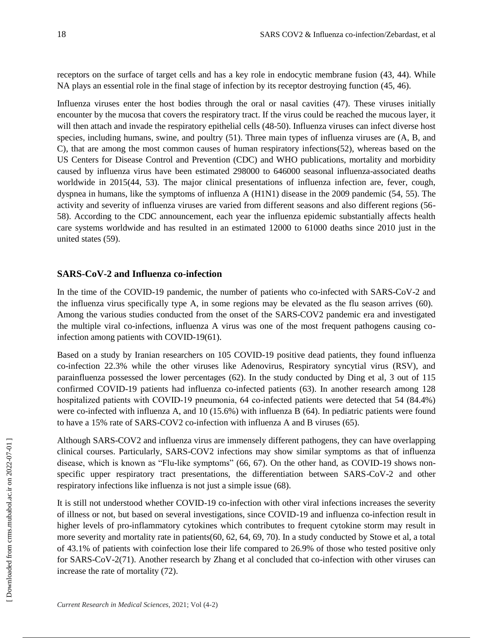receptors on the surface of target cells and has a key role in endocytic membrane fusion (43, 44). While NA plays an essential role in the final stage of infection by its receptor destroying function (45, 46).

Influenza viruses enter the host bodies through the oral or nasal cavities (47). These viruses initially encounter by the mucosa that covers the respiratory tract. If the virus could be reached the mucous layer, it will then attach and invade the respiratory epithelial cells (48-50). Influenza viruses can infect diverse host species, including humans, swine, and poultry (51). Three main types of influenza viruses are (A, B, and C), that are among the most common causes of human respiratory infections(52), whereas based on the US Centers for Disease Control and Prevention (CDC) and WHO publications, mortality and morbidity caused by influenza virus have been estimated 298000 to 646000 seasonal influenza-associated deaths worldwide in 2015(44, 53). The major clinical presentations of influenza infection are, fever, cough, dyspnea in humans, like the symptoms of influenza A (H1N1) disease in the 2009 pandemic (54, 55). The activity and severity of influenza viruses are varied from different seasons and also different regions (56- 58). According to the CDC announcement, each year the influenza epidemic substantially affects health care systems worldwide and has resulted in an estimated 12000 to 61000 deaths since 2010 just in the united states (59).

# **SARS-CoV-2 and Influenza co-infection**

In the time of the COVID-19 pandemic, the number of patients who co-infected with SARS-CoV-2 and the influenza virus specifically type A, in some regions may be elevated as the flu season arrives (60). Among the various studies conducted from the onset of the SARS-COV2 pandemic era and investigated the multiple viral co-infections, influenza A virus was one of the most frequent pathogens causing coinfection among patients with COVID-19(61).

Based on a study by Iranian researchers on 105 COVID-19 positive dead patients, they found influenza co-infection 22.3% while the other viruses like Adenovirus, Respiratory syncytial virus (RSV), and parainfluenza possessed the lower percentages (62). In the study conducted by Ding et al, 3 out of 115 confirmed COVID-19 patients had influenza co-infected patients (63). In another research among 128 hospitalized patients with COVID-19 pneumonia, 64 co-infected patients were detected that 54 (84.4%) were co-infected with influenza A, and 10 (15.6%) with influenza B (64). In pediatric patients were found to have a 15% rate of SARS-COV2 co-infection with influenza A and B viruses (65).

Although SARS-COV2 and influenza virus are immensely different pathogens, they can have overlapping clinical courses. Particularly, SARS-COV2 infections may show similar symptoms as that of influenza disease, which is known as "Flu-like symptoms" (66, 67). On the other hand, as COVID-19 shows nonspecific upper respiratory tract presentations, the differentiation between SARS-CoV-2 and other respiratory infections like influenza is not just a simple issue (68).

It is still not understood whether COVID-19 co-infection with other viral infections increases the severity of illness or not, but based on several investigations, since COVID-19 and influenza co-infection result in higher levels of pro-inflammatory cytokines which contributes to frequent cytokine storm may result in more severity and mortality rate in patients(60, 62, 64, 69, 70). In a study conducted by Stowe et al, a total of 43.1% of patients with coinfection lose their life compared to 26.9% of those who tested positive only for SARS-CoV-2(71). Another research by Zhang et al concluded that co-infection with other viruses can increase the rate of mortality (72).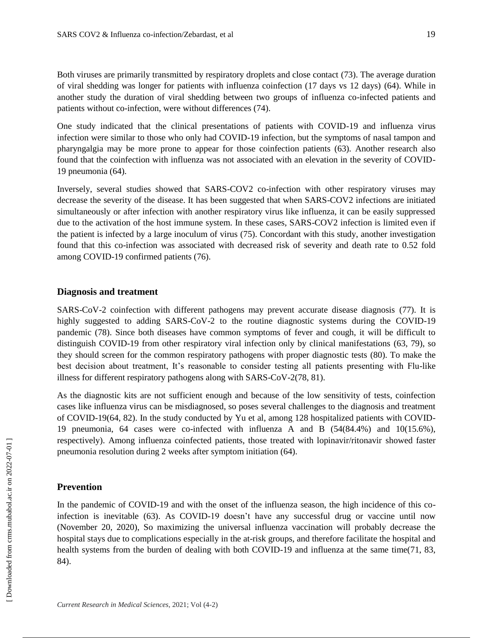Both viruses are primarily transmitted by respiratory droplets and close contact (73). The average duration of viral shedding was longer for patients with influenza coinfection (17 days vs 12 days) (64). While in another study the duration of viral shedding between two groups of influenza co-infected patients and patients without co-infection, were without differences (74).

One study indicated that the clinical presentations of patients with COVID-19 and influenza virus infection were similar to those who only had COVID-19 infection, but the symptoms of nasal tampon and pharyngalgia may be more prone to appear for those coinfection patients (63). Another research also found that the coinfection with influenza was not associated with an elevation in the severity of COVID-19 pneumonia (64).

Inversely, several studies showed that SARS-COV2 co-infection with other respiratory viruses may decrease the severity of the disease. It has been suggested that when SARS-COV2 infections are initiated simultaneously or after infection with another respiratory virus like influenza, it can be easily suppressed due to the activation of the host immune system. In these cases, SARS-COV2 infection is limited even if the patient is infected by a large inoculum of virus (75). Concordant with this study, another investigation found that this co-infection was associated with decreased risk of severity and death rate to 0.52 fold among COVID-19 confirmed patients (76).

### **Diagnosis and treatment**

SARS-CoV-2 coinfection with different pathogens may prevent accurate disease diagnosis (77). It is highly suggested to adding SARS-CoV-2 to the routine diagnostic systems during the COVID-19 pandemic (78). Since both diseases have common symptoms of fever and cough, it will be difficult to distinguish COVID-19 from other respiratory viral infection only by clinical manifestations (63, 79), so they should screen for the common respiratory pathogens with proper diagnostic tests (80). To make the best decision about treatment, It's reasonable to consider testing all patients presenting with Flu-like illness for different respiratory pathogens along with SARS-CoV-2(78, 81).

As the diagnostic kits are not sufficient enough and because of the low sensitivity of tests, coinfection cases like influenza virus can be misdiagnosed, so poses several challenges to the diagnosis and treatment of COVID-19(64, 82). In the study conducted by Yu et al, among 128 hospitalized patients with COVID-19 pneumonia, 64 cases were co-infected with influenza A and B (54(84.4%) and 10(15.6%), respectively). Among influenza coinfected patients, those treated with lopinavir/ritonavir showed faster pneumonia resolution during 2 weeks after symptom initiation (64).

#### **Prevention**

In the pandemic of COVID-19 and with the onset of the influenza season, the high incidence of this coinfection is inevitable (63). As COVID-19 doesn't have any successful drug or vaccine until now (November 20, 2020), So maximizing the universal influenza vaccination will probably decrease the hospital stays due to complications especially in the at-risk groups, and therefore facilitate the hospital and health systems from the burden of dealing with both COVID-19 and influenza at the same time(71, 83, 84).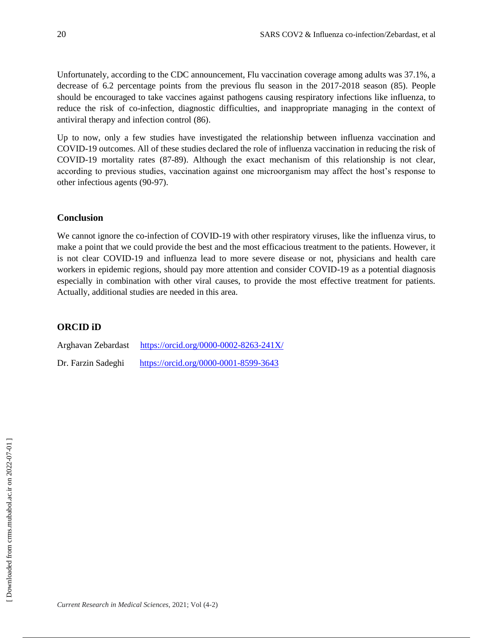Unfortunately, according to the CDC announcement, Flu vaccination coverage among adults was 37.1%, a decrease of 6.2 percentage points from the previous flu season in the 2017-2018 season (85). People should be encouraged to take vaccines against pathogens causing respiratory infections like influenza, to reduce the risk of co-infection, diagnostic difficulties, and inappropriate managing in the context of antiviral therapy and infection control (86).

Up to now, only a few studies have investigated the relationship between influenza vaccination and COVID-19 outcomes. All of these studies declared the role of influenza vaccination in reducing the risk of COVID-19 mortality rates (87-89). Although the exact mechanism of this relationship is not clear, according to previous studies, vaccination against one microorganism may affect the host's response to other infectious agents (90-97).

## **Conclusion**

We cannot ignore the co-infection of COVID-19 with other respiratory viruses, like the influenza virus, to make a point that we could provide the best and the most efficacious treatment to the patients. However, it is not clear COVID-19 and influenza lead to more severe disease or not, physicians and health care workers in epidemic regions, should pay more attention and consider COVID-19 as a potential diagnosis especially in combination with other viral causes, to provide the most effective treatment for patients. Actually, additional studies are needed in this area.

# **ORCID iD**

| Arghavan Zebardast | https://orcid.org/0000-0002-8263-241X/ |
|--------------------|----------------------------------------|
| Dr. Farzin Sadeghi | https://orcid.org/0000-0001-8599-3643  |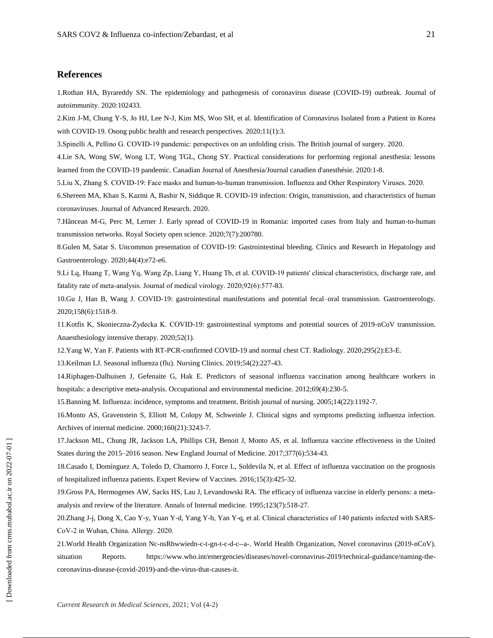#### **References**

1.Rothan HA, Byrareddy SN. The epidemiology and pathogenesis of coronavirus disease (COVID-19) outbreak. Journal of autoimmunity. 2020:102433.

2.Kim J-M, Chung Y-S, Jo HJ, Lee N-J, Kim MS, Woo SH, et al. Identification of Coronavirus Isolated from a Patient in Korea with COVID-19. Osong public health and research perspectives. 2020;11(1):3.

3.Spinelli A, Pellino G. COVID‐19 pandemic: perspectives on an unfolding crisis. The British journal of surgery. 2020.

4.Lie SA, Wong SW, Wong LT, Wong TGL, Chong SY. Practical considerations for performing regional anesthesia: lessons learned from the COVID-19 pandemic. Canadian Journal of Anesthesia/Journal canadien d'anesthésie. 2020:1-8.

5.Liu X, Zhang S. COVID‐19: Face masks and human‐to‐human transmission. Influenza and Other Respiratory Viruses. 2020.

6.Shereen MA, Khan S, Kazmi A, Bashir N, Siddique R. COVID-19 infection: Origin, transmission, and characteristics of human coronaviruses. Journal of Advanced Research. 2020.

7.Hâncean M-G, Perc M, Lerner J. Early spread of COVID-19 in Romania: imported cases from Italy and human-to-human transmission networks. Royal Society open science. 2020;7(7):200780.

8.Gulen M, Satar S. Uncommon presentation of COVID-19: Gastrointestinal bleeding. Clinics and Research in Hepatology and Gastroenterology. 2020;44(4):e72-e6.

9.Li Lq, Huang T, Wang Yq, Wang Zp, Liang Y, Huang Tb, et al. COVID‐19 patients' clinical characteristics, discharge rate, and fatality rate of meta‐analysis. Journal of medical virology. 2020;92(6):577-83.

10.Gu J, Han B, Wang J. COVID-19: gastrointestinal manifestations and potential fecal–oral transmission. Gastroenterology. 2020;158(6):1518-9.

11.Kotfis K, Skonieczna-Żydecka K. COVID-19: gastrointestinal symptoms and potential sources of 2019-nCoV transmission. Anaesthesiology intensive therapy. 2020;52(1).

12.Yang W, Yan F. Patients with RT-PCR-confirmed COVID-19 and normal chest CT. Radiology. 2020;295(2):E3-E.

13.Keilman LJ. Seasonal influenza (flu). Nursing Clinics. 2019;54(2):227-43.

14.Riphagen-Dalhuisen J, Gefenaite G, Hak E. Predictors of seasonal influenza vaccination among healthcare workers in hospitals: a descriptive meta-analysis. Occupational and environmental medicine. 2012;69(4):230-5.

15.Banning M. Influenza: incidence, symptoms and treatment. British journal of nursing. 2005;14(22):1192-7.

16.Monto AS, Gravenstein S, Elliott M, Colopy M, Schweinle J. Clinical signs and symptoms predicting influenza infection. Archives of internal medicine. 2000;160(21):3243-7.

17.Jackson ML, Chung JR, Jackson LA, Phillips CH, Benoit J, Monto AS, et al. Influenza vaccine effectiveness in the United States during the 2015–2016 season. New England Journal of Medicine. 2017;377(6):534-43.

18.Casado I, Domínguez A, Toledo D, Chamorro J, Force L, Soldevila N, et al. Effect of influenza vaccination on the prognosis of hospitalized influenza patients. Expert Review of Vaccines. 2016;15(3):425-32.

19.Gross PA, Hermogenes AW, Sacks HS, Lau J, Levandowski RA. The efficacy of influenza vaccine in elderly persons: a metaanalysis and review of the literature. Annals of Internal medicine. 1995;123(7):518-27.

20.Zhang J-j, Dong X, Cao Y-y, Yuan Y-d, Yang Y-b, Yan Y-q, et al. Clinical characteristics of 140 patients infected with SARS‐ CoV‐2 in Wuhan, China. Allergy. 2020.

21.World Health Organization Nc-nsRhwwiedn-c-t-gn-t-c-d-c--a-. World Health Organization, Novel coronavirus (2019-nCoV). situation Reports. https://www.who.int/emergencies/diseases/novel-coronavirus-2019/technical-guidance/naming-thecoronavirus-disease-(covid-2019)-and-the-virus-that-causes-it.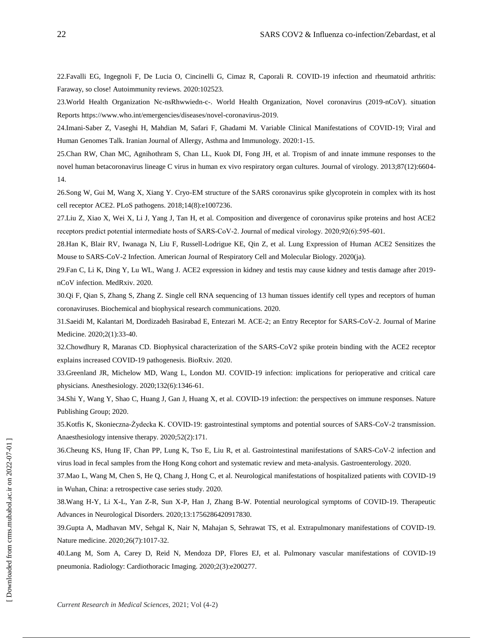22.Favalli EG, Ingegnoli F, De Lucia O, Cincinelli G, Cimaz R, Caporali R. COVID-19 infection and rheumatoid arthritis: Faraway, so close! Autoimmunity reviews. 2020:102523.

23.World Health Organization Nc-nsRhwwiedn-c-. World Health Organization, Novel coronavirus (2019-nCoV). situation Reports https://www.who.int/emergencies/diseases/novel-coronavirus-2019.

24.Imani-Saber Z, Vaseghi H, Mahdian M, Safari F, Ghadami M. Variable Clinical Manifestations of COVID-19; Viral and Human Genomes Talk. Iranian Journal of Allergy, Asthma and Immunology. 2020:1-15.

25.Chan RW, Chan MC, Agnihothram S, Chan LL, Kuok DI, Fong JH, et al. Tropism of and innate immune responses to the novel human betacoronavirus lineage C virus in human ex vivo respiratory organ cultures. Journal of virology. 2013;87(12):6604- 14.

26.Song W, Gui M, Wang X, Xiang Y. Cryo-EM structure of the SARS coronavirus spike glycoprotein in complex with its host cell receptor ACE2. PLoS pathogens. 2018;14(8):e1007236.

27.Liu Z, Xiao X, Wei X, Li J, Yang J, Tan H, et al. Composition and divergence of coronavirus spike proteins and host ACE2 receptors predict potential intermediate hosts of SARS‐CoV‐2. Journal of medical virology. 2020;92(6):595-601.

28.Han K, Blair RV, Iwanaga N, Liu F, Russell-Lodrigue KE, Qin Z, et al. Lung Expression of Human ACE2 Sensitizes the Mouse to SARS-CoV-2 Infection. American Journal of Respiratory Cell and Molecular Biology. 2020(ja).

29.Fan C, Li K, Ding Y, Lu WL, Wang J. ACE2 expression in kidney and testis may cause kidney and testis damage after 2019 nCoV infection. MedRxiv. 2020.

30.Qi F, Qian S, Zhang S, Zhang Z. Single cell RNA sequencing of 13 human tissues identify cell types and receptors of human coronaviruses. Biochemical and biophysical research communications. 2020.

31.Saeidi M, Kalantari M, Dordizadeh Basirabad E, Entezari M. ACE-2; an Entry Receptor for SARS-CoV-2. Journal of Marine Medicine. 2020;2(1):33-40.

32.Chowdhury R, Maranas CD. Biophysical characterization of the SARS-CoV2 spike protein binding with the ACE2 receptor explains increased COVID-19 pathogenesis. BioRxiv. 2020.

33.Greenland JR, Michelow MD, Wang L, London MJ. COVID-19 infection: implications for perioperative and critical care physicians. Anesthesiology. 2020;132(6):1346-61.

34.Shi Y, Wang Y, Shao C, Huang J, Gan J, Huang X, et al. COVID-19 infection: the perspectives on immune responses. Nature Publishing Group; 2020.

35.Kotfis K, Skonieczna-Żydecka K. COVID-19: gastrointestinal symptoms and potential sources of SARS-CoV-2 transmission. Anaesthesiology intensive therapy. 2020;52(2):171.

36.Cheung KS, Hung IF, Chan PP, Lung K, Tso E, Liu R, et al. Gastrointestinal manifestations of SARS-CoV-2 infection and virus load in fecal samples from the Hong Kong cohort and systematic review and meta-analysis. Gastroenterology. 2020.

37.Mao L, Wang M, Chen S, He Q, Chang J, Hong C, et al. Neurological manifestations of hospitalized patients with COVID-19 in Wuhan, China: a retrospective case series study. 2020.

38.Wang H-Y, Li X-L, Yan Z-R, Sun X-P, Han J, Zhang B-W. Potential neurological symptoms of COVID-19. Therapeutic Advances in Neurological Disorders. 2020;13:1756286420917830.

39.Gupta A, Madhavan MV, Sehgal K, Nair N, Mahajan S, Sehrawat TS, et al. Extrapulmonary manifestations of COVID-19. Nature medicine. 2020;26(7):1017-32.

40.Lang M, Som A, Carey D, Reid N, Mendoza DP, Flores EJ, et al. Pulmonary vascular manifestations of COVID-19 pneumonia. Radiology: Cardiothoracic Imaging. 2020;2(3):e200277.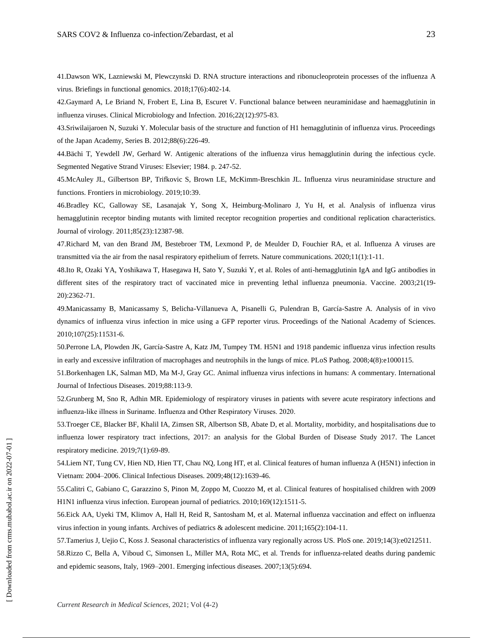41.Dawson WK, Lazniewski M, Plewczynski D. RNA structure interactions and ribonucleoprotein processes of the influenza A virus. Briefings in functional genomics. 2018;17(6):402-14.

42.Gaymard A, Le Briand N, Frobert E, Lina B, Escuret V. Functional balance between neuraminidase and haemagglutinin in influenza viruses. Clinical Microbiology and Infection. 2016;22(12):975-83.

43.Sriwilaijaroen N, Suzuki Y. Molecular basis of the structure and function of H1 hemagglutinin of influenza virus. Proceedings of the Japan Academy, Series B. 2012;88(6):226-49.

44.Bächi T, Yewdell JW, Gerhard W. Antigenic alterations of the influenza virus hemagglutinin during the infectious cycle. Segmented Negative Strand Viruses: Elsevier; 1984. p. 247-52.

45.McAuley JL, Gilbertson BP, Trifkovic S, Brown LE, McKimm-Breschkin JL. Influenza virus neuraminidase structure and functions. Frontiers in microbiology. 2019;10:39.

46.Bradley KC, Galloway SE, Lasanajak Y, Song X, Heimburg-Molinaro J, Yu H, et al. Analysis of influenza virus hemagglutinin receptor binding mutants with limited receptor recognition properties and conditional replication characteristics. Journal of virology. 2011;85(23):12387-98.

47.Richard M, van den Brand JM, Bestebroer TM, Lexmond P, de Meulder D, Fouchier RA, et al. Influenza A viruses are transmitted via the air from the nasal respiratory epithelium of ferrets. Nature communications. 2020;11(1):1-11.

48.Ito R, Ozaki YA, Yoshikawa T, Hasegawa H, Sato Y, Suzuki Y, et al. Roles of anti-hemagglutinin IgA and IgG antibodies in different sites of the respiratory tract of vaccinated mice in preventing lethal influenza pneumonia. Vaccine. 2003;21(19- 20):2362-71.

49.Manicassamy B, Manicassamy S, Belicha-Villanueva A, Pisanelli G, Pulendran B, García-Sastre A. Analysis of in vivo dynamics of influenza virus infection in mice using a GFP reporter virus. Proceedings of the National Academy of Sciences. 2010;107(25):11531-6.

50.Perrone LA, Plowden JK, García-Sastre A, Katz JM, Tumpey TM. H5N1 and 1918 pandemic influenza virus infection results in early and excessive infiltration of macrophages and neutrophils in the lungs of mice. PLoS Pathog. 2008;4(8):e1000115.

51.Borkenhagen LK, Salman MD, Ma M-J, Gray GC. Animal influenza virus infections in humans: A commentary. International Journal of Infectious Diseases. 2019;88:113-9.

52.Grunberg M, Sno R, Adhin MR. Epidemiology of respiratory viruses in patients with severe acute respiratory infections and influenza‐like illness in Suriname. Influenza and Other Respiratory Viruses. 2020.

53.Troeger CE, Blacker BF, Khalil IA, Zimsen SR, Albertson SB, Abate D, et al. Mortality, morbidity, and hospitalisations due to influenza lower respiratory tract infections, 2017: an analysis for the Global Burden of Disease Study 2017. The Lancet respiratory medicine. 2019;7(1):69-89.

54.Liem NT, Tung CV, Hien ND, Hien TT, Chau NQ, Long HT, et al. Clinical features of human influenza A (H5N1) infection in Vietnam: 2004–2006. Clinical Infectious Diseases. 2009;48(12):1639-46.

55.Calitri C, Gabiano C, Garazzino S, Pinon M, Zoppo M, Cuozzo M, et al. Clinical features of hospitalised children with 2009 H1N1 influenza virus infection. European journal of pediatrics. 2010;169(12):1511-5.

56.Eick AA, Uyeki TM, Klimov A, Hall H, Reid R, Santosham M, et al. Maternal influenza vaccination and effect on influenza virus infection in young infants. Archives of pediatrics & adolescent medicine. 2011;165(2):104-11.

57.Tamerius J, Uejio C, Koss J. Seasonal characteristics of influenza vary regionally across US. PloS one. 2019;14(3):e0212511.

58.Rizzo C, Bella A, Viboud C, Simonsen L, Miller MA, Rota MC, et al. Trends for influenza-related deaths during pandemic and epidemic seasons, Italy, 1969–2001. Emerging infectious diseases. 2007;13(5):694.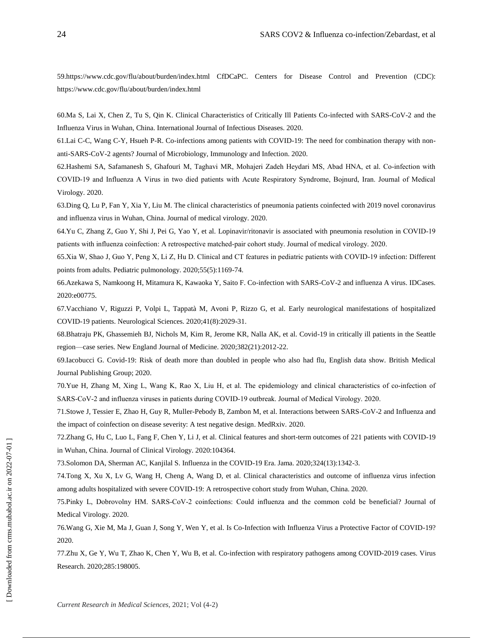59.https://www.cdc.gov/flu/about/burden/index.html CfDCaPC. Centers for Disease Control and Prevention (CDC): https://www.cdc.gov/flu/about/burden/index.html

60.Ma S, Lai X, Chen Z, Tu S, Qin K. Clinical Characteristics of Critically Ill Patients Co-infected with SARS-CoV-2 and the Influenza Virus in Wuhan, China. International Journal of Infectious Diseases. 2020.

61.Lai C-C, Wang C-Y, Hsueh P-R. Co-infections among patients with COVID-19: The need for combination therapy with nonanti-SARS-CoV-2 agents? Journal of Microbiology, Immunology and Infection. 2020.

62.Hashemi SA, Safamanesh S, Ghafouri M, Taghavi MR, Mohajeri Zadeh Heydari MS, Abad HNA, et al. Co‐infection with COVID‐19 and Influenza A Virus in two died patients with Acute Respiratory Syndrome, Bojnurd, Iran. Journal of Medical Virology. 2020.

63.Ding Q, Lu P, Fan Y, Xia Y, Liu M. The clinical characteristics of pneumonia patients coinfected with 2019 novel coronavirus and influenza virus in Wuhan, China. Journal of medical virology. 2020.

64.Yu C, Zhang Z, Guo Y, Shi J, Pei G, Yao Y, et al. Lopinavir/ritonavir is associated with pneumonia resolution in COVID‐19 patients with influenza coinfection: A retrospective matched‐pair cohort study. Journal of medical virology. 2020.

65.Xia W, Shao J, Guo Y, Peng X, Li Z, Hu D. Clinical and CT features in pediatric patients with COVID‐19 infection: Different points from adults. Pediatric pulmonology. 2020;55(5):1169-74.

66.Azekawa S, Namkoong H, Mitamura K, Kawaoka Y, Saito F. Co-infection with SARS-CoV-2 and influenza A virus. IDCases. 2020:e00775.

67.Vacchiano V, Riguzzi P, Volpi L, Tappatà M, Avoni P, Rizzo G, et al. Early neurological manifestations of hospitalized COVID-19 patients. Neurological Sciences. 2020;41(8):2029-31.

68.Bhatraju PK, Ghassemieh BJ, Nichols M, Kim R, Jerome KR, Nalla AK, et al. Covid-19 in critically ill patients in the Seattle region—case series. New England Journal of Medicine. 2020;382(21):2012-22.

69.Iacobucci G. Covid-19: Risk of death more than doubled in people who also had flu, English data show. British Medical Journal Publishing Group; 2020.

70.Yue H, Zhang M, Xing L, Wang K, Rao X, Liu H, et al. The epidemiology and clinical characteristics of co‐infection of SARS-CoV-2 and influenza viruses in patients during COVID-19 outbreak. Journal of Medical Virology. 2020.

71.Stowe J, Tessier E, Zhao H, Guy R, Muller-Pebody B, Zambon M, et al. Interactions between SARS-CoV-2 and Influenza and the impact of coinfection on disease severity: A test negative design. MedRxiv. 2020.

72.Zhang G, Hu C, Luo L, Fang F, Chen Y, Li J, et al. Clinical features and short-term outcomes of 221 patients with COVID-19 in Wuhan, China. Journal of Clinical Virology. 2020:104364.

73.Solomon DA, Sherman AC, Kanjilal S. Influenza in the COVID-19 Era. Jama. 2020;324(13):1342-3.

74.Tong X, Xu X, Lv G, Wang H, Cheng A, Wang D, et al. Clinical characteristics and outcome of influenza virus infection among adults hospitalized with severe COVID-19: A retrospective cohort study from Wuhan, China. 2020.

75.Pinky L, Dobrovolny HM. SARS‐CoV‐2 coinfections: Could influenza and the common cold be beneficial? Journal of Medical Virology. 2020.

76.Wang G, Xie M, Ma J, Guan J, Song Y, Wen Y, et al. Is Co-Infection with Influenza Virus a Protective Factor of COVID-19? 2020.

77.Zhu X, Ge Y, Wu T, Zhao K, Chen Y, Wu B, et al. Co-infection with respiratory pathogens among COVID-2019 cases. Virus Research. 2020;285:198005.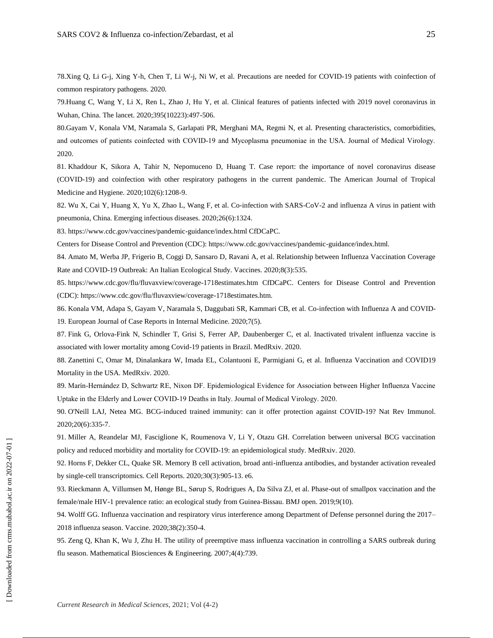78.Xing Q, Li G-j, Xing Y-h, Chen T, Li W-j, Ni W, et al. Precautions are needed for COVID-19 patients with coinfection of common respiratory pathogens. 2020.

79.Huang C, Wang Y, Li X, Ren L, Zhao J, Hu Y, et al. Clinical features of patients infected with 2019 novel coronavirus in Wuhan, China. The lancet. 2020;395(10223):497-506.

80.Gayam V, Konala VM, Naramala S, Garlapati PR, Merghani MA, Regmi N, et al. Presenting characteristics, comorbidities, and outcomes of patients coinfected with COVID‐19 and Mycoplasma pneumoniae in the USA. Journal of Medical Virology. 2020.

81. Khaddour K, Sikora A, Tahir N, Nepomuceno D, Huang T. Case report: the importance of novel coronavirus disease (COVID-19) and coinfection with other respiratory pathogens in the current pandemic. The American Journal of Tropical Medicine and Hygiene. 2020;102(6):1208-9.

82. Wu X, Cai Y, Huang X, Yu X, Zhao L, Wang F, et al. Co-infection with SARS-CoV-2 and influenza A virus in patient with pneumonia, China. Emerging infectious diseases. 2020;26(6):1324.

83. https://www.cdc.gov/vaccines/pandemic-guidance/index.html CfDCaPC.

Centers for Disease Control and Prevention (CDC): https://www.cdc.gov/vaccines/pandemic-guidance/index.html.

84. Amato M, Werba JP, Frigerio B, Coggi D, Sansaro D, Ravani A, et al. Relationship between Influenza Vaccination Coverage Rate and COVID-19 Outbreak: An Italian Ecological Study. Vaccines. 2020;8(3):535.

85. https://www.cdc.gov/flu/fluvaxview/coverage-1718estimates.htm CfDCaPC. Centers for Disease Control and Prevention (CDC): https://www.cdc.gov/flu/fluvaxview/coverage-1718estimates.htm.

86. Konala VM, Adapa S, Gayam V, Naramala S, Daggubati SR, Kammari CB, et al. Co-infection with Influenza A and COVID-19. European Journal of Case Reports in Internal Medicine. 2020;7(5).

87. Fink G, Orlova-Fink N, Schindler T, Grisi S, Ferrer AP, Daubenberger C, et al. Inactivated trivalent influenza vaccine is associated with lower mortality among Covid-19 patients in Brazil. MedRxiv. 2020.

88. Zanettini C, Omar M, Dinalankara W, Imada EL, Colantuoni E, Parmigiani G, et al. Influenza Vaccination and COVID19 Mortality in the USA. MedRxiv. 2020.

89. Marín‐Hernández D, Schwartz RE, Nixon DF. Epidemiological Evidence for Association between Higher Influenza Vaccine Uptake in the Elderly and Lower COVID‐19 Deaths in Italy. Journal of Medical Virology. 2020.

90. O'Neill LAJ, Netea MG. BCG-induced trained immunity: can it offer protection against COVID-19? Nat Rev Immunol. 2020;20(6):335-7.

91. Miller A, Reandelar MJ, Fasciglione K, Roumenova V, Li Y, Otazu GH. Correlation between universal BCG vaccination policy and reduced morbidity and mortality for COVID-19: an epidemiological study. MedRxiv. 2020.

92. Horns F, Dekker CL, Quake SR. Memory B cell activation, broad anti-influenza antibodies, and bystander activation revealed by single-cell transcriptomics. Cell Reports. 2020;30(3):905-13. e6.

93. Rieckmann A, Villumsen M, Hønge BL, Sørup S, Rodrigues A, Da Silva ZJ, et al. Phase-out of smallpox vaccination and the female/male HIV-1 prevalence ratio: an ecological study from Guinea-Bissau. BMJ open. 2019;9(10).

94. Wolff GG. Influenza vaccination and respiratory virus interference among Department of Defense personnel during the 2017– 2018 influenza season. Vaccine. 2020;38(2):350-4.

95. Zeng Q, Khan K, Wu J, Zhu H. The utility of preemptive mass influenza vaccination in controlling a SARS outbreak during flu season. Mathematical Biosciences & Engineering. 2007;4(4):739.